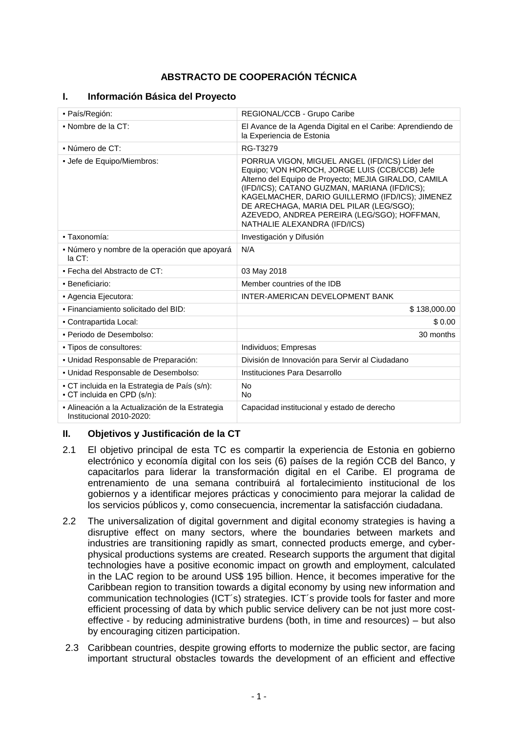# **ABSTRACTO DE COOPERACIÓN TÉCNICA**

| • País/Región:                                                               | REGIONAL/CCB - Grupo Caribe                                                                                                                                                                                                                                                                                                                                                           |  |
|------------------------------------------------------------------------------|---------------------------------------------------------------------------------------------------------------------------------------------------------------------------------------------------------------------------------------------------------------------------------------------------------------------------------------------------------------------------------------|--|
| • Nombre de la CT:                                                           | El Avance de la Agenda Digital en el Caribe: Aprendiendo de<br>la Experiencia de Estonia                                                                                                                                                                                                                                                                                              |  |
| • Número de CT:                                                              | RG-T3279                                                                                                                                                                                                                                                                                                                                                                              |  |
| - Jefe de Equipo/Miembros:                                                   | PORRUA VIGON, MIGUEL ANGEL (IFD/ICS) Líder del<br>Equipo; VON HOROCH, JORGE LUIS (CCB/CCB) Jefe<br>Alterno del Equipo de Proyecto; MEJIA GIRALDO, CAMILA<br>(IFD/ICS): CATANO GUZMAN, MARIANA (IFD/ICS);<br>KAGELMACHER, DARIO GUILLERMO (IFD/ICS); JIMENEZ<br>DE ARECHAGA, MARIA DEL PILAR (LEG/SGO);<br>AZEVEDO, ANDREA PEREIRA (LEG/SGO); HOFFMAN,<br>NATHALIE ALEXANDRA (IFD/ICS) |  |
| · Taxonomía:                                                                 | Investigación y Difusión                                                                                                                                                                                                                                                                                                                                                              |  |
| • Número y nombre de la operación que apoyará<br>$la C$ T:                   | N/A                                                                                                                                                                                                                                                                                                                                                                                   |  |
| • Fecha del Abstracto de CT:                                                 | 03 May 2018                                                                                                                                                                                                                                                                                                                                                                           |  |
| · Beneficiario:                                                              | Member countries of the IDB                                                                                                                                                                                                                                                                                                                                                           |  |
| • Agencia Ejecutora:                                                         | INTER-AMERICAN DEVELOPMENT BANK                                                                                                                                                                                                                                                                                                                                                       |  |
| · Financiamiento solicitado del BID:                                         | \$138,000.00                                                                                                                                                                                                                                                                                                                                                                          |  |
| • Contrapartida Local:                                                       | \$0.00                                                                                                                                                                                                                                                                                                                                                                                |  |
| · Periodo de Desembolso:                                                     | 30 months                                                                                                                                                                                                                                                                                                                                                                             |  |
| - Tipos de consultores:                                                      | Individuos; Empresas                                                                                                                                                                                                                                                                                                                                                                  |  |
| • Unidad Responsable de Preparación:                                         | División de Innovación para Servir al Ciudadano                                                                                                                                                                                                                                                                                                                                       |  |
| • Unidad Responsable de Desembolso:                                          | Instituciones Para Desarrollo                                                                                                                                                                                                                                                                                                                                                         |  |
| • CT incluida en la Estrategia de País (s/n):<br>• CT incluida en CPD (s/n): | <b>No</b><br><b>No</b>                                                                                                                                                                                                                                                                                                                                                                |  |
| - Alineación a la Actualización de la Estrategia<br>Institucional 2010-2020: | Capacidad institucional y estado de derecho                                                                                                                                                                                                                                                                                                                                           |  |

## **I. Información Básica del Proyecto**

## **II. Objetivos y Justificación de la CT**

- 2.1 El objetivo principal de esta TC es compartir la experiencia de Estonia en gobierno electrónico y economía digital con los seis (6) países de la región CCB del Banco, y capacitarlos para liderar la transformación digital en el Caribe. El programa de entrenamiento de una semana contribuirá al fortalecimiento institucional de los gobiernos y a identificar mejores prácticas y conocimiento para mejorar la calidad de los servicios públicos y, como consecuencia, incrementar la satisfacción ciudadana.
- 2.2 The universalization of digital government and digital economy strategies is having a disruptive effect on many sectors, where the boundaries between markets and industries are transitioning rapidly as smart, connected products emerge, and cyberphysical productions systems are created. Research supports the argument that digital technologies have a positive economic impact on growth and employment, calculated in the LAC region to be around US\$ 195 billion. Hence, it becomes imperative for the Caribbean region to transition towards a digital economy by using new information and communication technologies (ICT´s) strategies. ICT´s provide tools for faster and more efficient processing of data by which public service delivery can be not just more costeffective - by reducing administrative burdens (both, in time and resources) – but also by encouraging citizen participation.
- 2.3 Caribbean countries, despite growing efforts to modernize the public sector, are facing important structural obstacles towards the development of an efficient and effective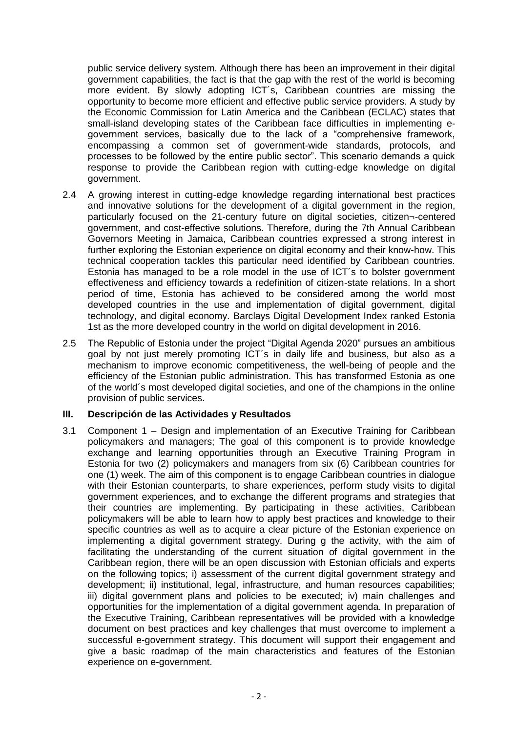public service delivery system. Although there has been an improvement in their digital government capabilities, the fact is that the gap with the rest of the world is becoming more evident. By slowly adopting ICT´s, Caribbean countries are missing the opportunity to become more efficient and effective public service providers. A study by the Economic Commission for Latin America and the Caribbean (ECLAC) states that small-island developing states of the Caribbean face difficulties in implementing egovernment services, basically due to the lack of a "comprehensive framework, encompassing a common set of government-wide standards, protocols, and processes to be followed by the entire public sector". This scenario demands a quick response to provide the Caribbean region with cutting-edge knowledge on digital government.

- 2.4 A growing interest in cutting-edge knowledge regarding international best practices and innovative solutions for the development of a digital government in the region, particularly focused on the 21-century future on digital societies, citizen¬-centered government, and cost-effective solutions. Therefore, during the 7th Annual Caribbean Governors Meeting in Jamaica, Caribbean countries expressed a strong interest in further exploring the Estonian experience on digital economy and their know-how. This technical cooperation tackles this particular need identified by Caribbean countries. Estonia has managed to be a role model in the use of ICT´s to bolster government effectiveness and efficiency towards a redefinition of citizen-state relations. In a short period of time, Estonia has achieved to be considered among the world most developed countries in the use and implementation of digital government, digital technology, and digital economy. Barclays Digital Development Index ranked Estonia 1st as the more developed country in the world on digital development in 2016.
- 2.5 The Republic of Estonia under the project "Digital Agenda 2020" pursues an ambitious goal by not just merely promoting ICT´s in daily life and business, but also as a mechanism to improve economic competitiveness, the well-being of people and the efficiency of the Estonian public administration. This has transformed Estonia as one of the world´s most developed digital societies, and one of the champions in the online provision of public services.

## **III. Descripción de las Actividades y Resultados**

3.1 Component 1 – Design and implementation of an Executive Training for Caribbean policymakers and managers; The goal of this component is to provide knowledge exchange and learning opportunities through an Executive Training Program in Estonia for two (2) policymakers and managers from six (6) Caribbean countries for one (1) week. The aim of this component is to engage Caribbean countries in dialogue with their Estonian counterparts, to share experiences, perform study visits to digital government experiences, and to exchange the different programs and strategies that their countries are implementing. By participating in these activities, Caribbean policymakers will be able to learn how to apply best practices and knowledge to their specific countries as well as to acquire a clear picture of the Estonian experience on implementing a digital government strategy. During g the activity, with the aim of facilitating the understanding of the current situation of digital government in the Caribbean region, there will be an open discussion with Estonian officials and experts on the following topics; i) assessment of the current digital government strategy and development; ii) institutional, legal, infrastructure, and human resources capabilities; iii) digital government plans and policies to be executed; iv) main challenges and opportunities for the implementation of a digital government agenda. In preparation of the Executive Training, Caribbean representatives will be provided with a knowledge document on best practices and key challenges that must overcome to implement a successful e-government strategy. This document will support their engagement and give a basic roadmap of the main characteristics and features of the Estonian experience on e-government.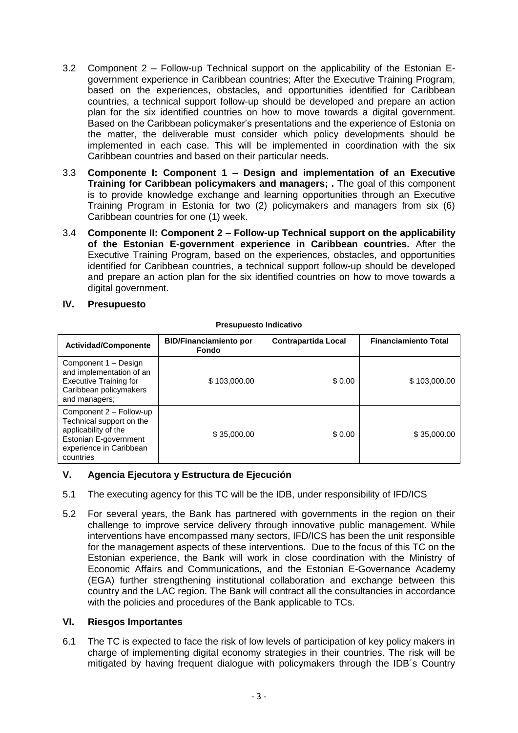- 3.2 Component 2 Follow-up Technical support on the applicability of the Estonian Egovernment experience in Caribbean countries; After the Executive Training Program, based on the experiences, obstacles, and opportunities identified for Caribbean countries, a technical support follow-up should be developed and prepare an action plan for the six identified countries on how to move towards a digital government. Based on the Caribbean policymaker's presentations and the experience of Estonia on the matter, the deliverable must consider which policy developments should be implemented in each case. This will be implemented in coordination with the six Caribbean countries and based on their particular needs.
- 3.3 **Componente I: Component 1 – Design and implementation of an Executive Training for Caribbean policymakers and managers; . The goal of this component** is to provide knowledge exchange and learning opportunities through an Executive Training Program in Estonia for two (2) policymakers and managers from six (6) Caribbean countries for one (1) week.
- 3.4 **Componente II: Component 2 – Follow-up Technical support on the applicability of the Estonian E-government experience in Caribbean countries.** After the Executive Training Program, based on the experiences, obstacles, and opportunities identified for Caribbean countries, a technical support follow-up should be developed and prepare an action plan for the six identified countries on how to move towards a digital government.
- **IV. Presupuesto**

#### **Presupuesto Indicativo**

| <b>Actividad/Componente</b>                                                                                                                  | <b>BID/Financiamiento por</b><br>Fondo | <b>Contrapartida Local</b> | <b>Financiamiento Total</b> |
|----------------------------------------------------------------------------------------------------------------------------------------------|----------------------------------------|----------------------------|-----------------------------|
| Component 1 - Design<br>and implementation of an<br><b>Executive Training for</b><br>Caribbean policymakers<br>and managers;                 | \$103,000.00                           | \$0.00                     | \$103,000.00                |
| Component 2 - Follow-up<br>Technical support on the<br>applicability of the<br>Estonian E-government<br>experience in Caribbean<br>countries | \$35,000,00                            | \$0.00                     | \$35,000.00                 |

## **V. Agencia Ejecutora y Estructura de Ejecución**

- 5.1 The executing agency for this TC will be the IDB, under responsibility of IFD/ICS
- 5.2 For several years, the Bank has partnered with governments in the region on their challenge to improve service delivery through innovative public management. While interventions have encompassed many sectors, IFD/ICS has been the unit responsible for the management aspects of these interventions. Due to the focus of this TC on the Estonian experience, the Bank will work in close coordination with the Ministry of Economic Affairs and Communications, and the Estonian E-Governance Academy (EGA) further strengthening institutional collaboration and exchange between this country and the LAC region. The Bank will contract all the consultancies in accordance with the policies and procedures of the Bank applicable to TCs.

## **VI. Riesgos Importantes**

6.1 The TC is expected to face the risk of low levels of participation of key policy makers in charge of implementing digital economy strategies in their countries. The risk will be mitigated by having frequent dialogue with policymakers through the IDB´s Country